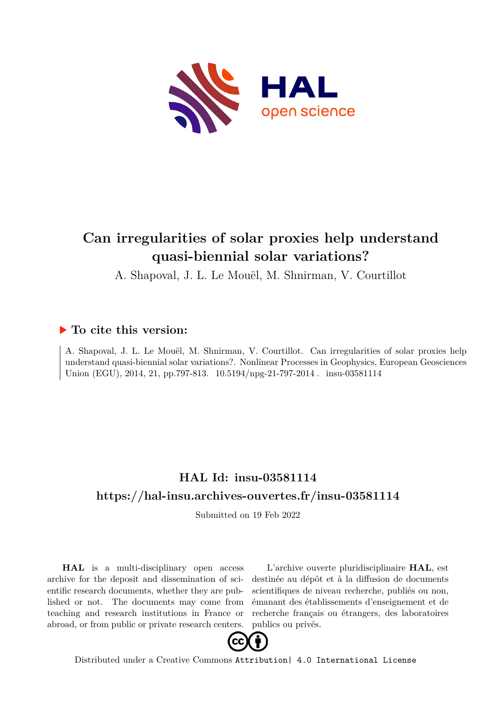

# **Can irregularities of solar proxies help understand quasi-biennial solar variations?**

A. Shapoval, J. L. Le Mouël, M. Shnirman, V. Courtillot

## **To cite this version:**

A. Shapoval, J. L. Le Mouël, M. Shnirman, V. Courtillot. Can irregularities of solar proxies help understand quasi-biennial solar variations?. Nonlinear Processes in Geophysics, European Geosciences Union (EGU), 2014, 21, pp.797-813. 10.5194/npg-21-797-2014 . insu-03581114

## **HAL Id: insu-03581114 <https://hal-insu.archives-ouvertes.fr/insu-03581114>**

Submitted on 19 Feb 2022

**HAL** is a multi-disciplinary open access archive for the deposit and dissemination of scientific research documents, whether they are published or not. The documents may come from teaching and research institutions in France or abroad, or from public or private research centers.

L'archive ouverte pluridisciplinaire **HAL**, est destinée au dépôt et à la diffusion de documents scientifiques de niveau recherche, publiés ou non, émanant des établissements d'enseignement et de recherche français ou étrangers, des laboratoires publics ou privés.



Distributed under a Creative Commons [Attribution| 4.0 International License](http://creativecommons.org/licenses/by/4.0/)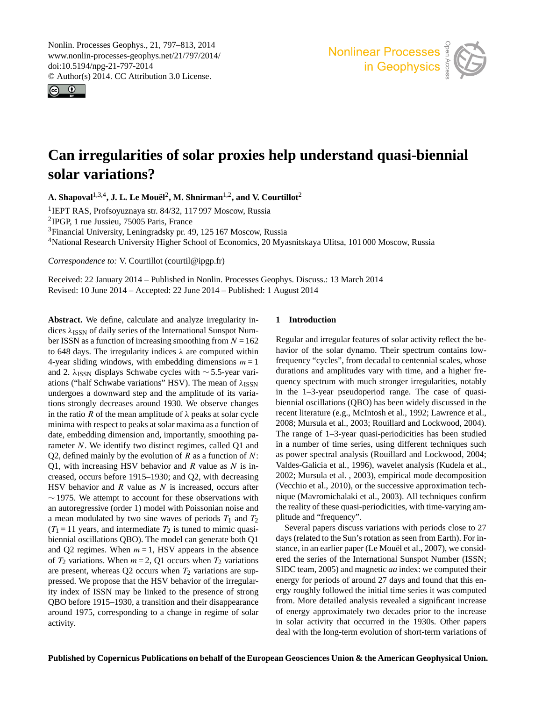Nonlin. Processes Geophys., 21, 797–813, 2014 www.nonlin-processes-geophys.net/21/797/2014/ doi:10.5194/npg-21-797-2014 © Author(s) 2014. CC Attribution 3.0 License.





## **Can irregularities of solar proxies help understand quasi-biennial solar variations?**

**A. Shapoval**1,3,4**, J. L. Le Mouël**<sup>2</sup> **, M. Shnirman**1,2**, and V. Courtillot**<sup>2</sup>

<sup>1</sup>IEPT RAS, Profsoyuznaya str. 84/32, 117 997 Moscow, Russia

2 IPGP, 1 rue Jussieu, 75005 Paris, France

<sup>3</sup>Financial University, Leningradsky pr. 49, 125 167 Moscow, Russia

<sup>4</sup>National Research University Higher School of Economics, 20 Myasnitskaya Ulitsa, 101 000 Moscow, Russia

*Correspondence to:* V. Courtillot (courtil@ipgp.fr)

Received: 22 January 2014 – Published in Nonlin. Processes Geophys. Discuss.: 13 March 2014 Revised: 10 June 2014 – Accepted: 22 June 2014 – Published: 1 August 2014

**Abstract.** We define, calculate and analyze irregularity indices  $\lambda_{\text{ISSN}}$  of daily series of the International Sunspot Number ISSN as a function of increasing smoothing from  $N = 162$ to 648 days. The irregularity indices  $\lambda$  are computed within 4-year sliding windows, with embedding dimensions  $m = 1$ and 2. λ<sub>ISSN</sub> displays Schwabe cycles with ∼5.5-year variations ("half Schwabe variations" HSV). The mean of  $\lambda_{\text{ISSN}}$ undergoes a downward step and the amplitude of its variations strongly decreases around 1930. We observe changes in the ratio R of the mean amplitude of  $\lambda$  peaks at solar cycle minima with respect to peaks at solar maxima as a function of date, embedding dimension and, importantly, smoothing parameter N. We identify two distinct regimes, called Q1 and Q2, defined mainly by the evolution of  $R$  as a function of  $N$ : Q1, with increasing HSV behavior and  $R$  value as  $N$  is increased, occurs before 1915–1930; and Q2, with decreasing HSV behavior and  $R$  value as  $N$  is increased, occurs after ∼ 1975. We attempt to account for these observations with an autoregressive (order 1) model with Poissonian noise and a mean modulated by two sine waves of periods  $T_1$  and  $T_2$  $(T_1 = 11$  years, and intermediate  $T_2$  is tuned to mimic quasibiennial oscillations QBO). The model can generate both Q1 and Q2 regimes. When  $m = 1$ , HSV appears in the absence of  $T_2$  variations. When  $m = 2$ , Q1 occurs when  $T_2$  variations are present, whereas  $Q2$  occurs when  $T_2$  variations are suppressed. We propose that the HSV behavior of the irregularity index of ISSN may be linked to the presence of strong QBO before 1915–1930, a transition and their disappearance around 1975, corresponding to a change in regime of solar activity.

## **1 Introduction**

Regular and irregular features of solar activity reflect the behavior of the solar dynamo. Their spectrum contains lowfrequency "cycles", from decadal to centennial scales, whose durations and amplitudes vary with time, and a higher frequency spectrum with much stronger irregularities, notably in the 1–3-year pseudoperiod range. The case of quasibiennial oscillations (QBO) has been widely discussed in the recent literature (e.g., McIntosh et al., 1992; Lawrence et al., 2008; Mursula et al., 2003; Rouillard and Lockwood, 2004). The range of 1–3-year quasi-periodicities has been studied in a number of time series, using different techniques such as power spectral analysis (Rouillard and Lockwood, 2004; Valdes-Galicia et al., 1996), wavelet analysis (Kudela et al., 2002; Mursula et al. , 2003), empirical mode decomposition (Vecchio et al., 2010), or the successive approximation technique (Mavromichalaki et al., 2003). All techniques confirm the reality of these quasi-periodicities, with time-varying amplitude and "frequency".

Several papers discuss variations with periods close to 27 days (related to the Sun's rotation as seen from Earth). For instance, in an earlier paper (Le Mouël et al., 2007), we considered the series of the International Sunspot Number (ISSN; SIDC team, 2005) and magnetic *aa* index: we computed their energy for periods of around 27 days and found that this energy roughly followed the initial time series it was computed from. More detailed analysis revealed a significant increase of energy approximately two decades prior to the increase in solar activity that occurred in the 1930s. Other papers deal with the long-term evolution of short-term variations of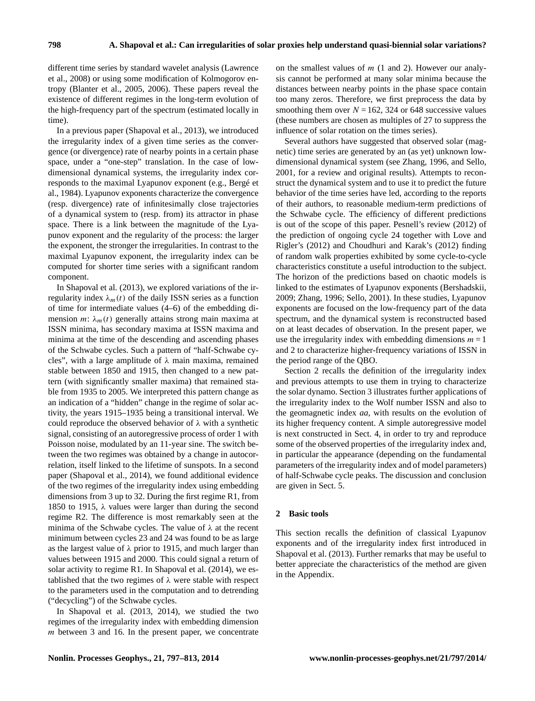different time series by standard wavelet analysis (Lawrence et al., 2008) or using some modification of Kolmogorov entropy (Blanter et al., 2005, 2006). These papers reveal the existence of different regimes in the long-term evolution of the high-frequency part of the spectrum (estimated locally in time).

In a previous paper (Shapoval et al., 2013), we introduced the irregularity index of a given time series as the convergence (or divergence) rate of nearby points in a certain phase space, under a "one-step" translation. In the case of lowdimensional dynamical systems, the irregularity index corresponds to the maximal Lyapunov exponent (e.g., Bergé et al., 1984). Lyapunov exponents characterize the convergence (resp. divergence) rate of infinitesimally close trajectories of a dynamical system to (resp. from) its attractor in phase space. There is a link between the magnitude of the Lyapunov exponent and the regularity of the process: the larger the exponent, the stronger the irregularities. In contrast to the maximal Lyapunov exponent, the irregularity index can be computed for shorter time series with a significant random component.

In Shapoval et al. (2013), we explored variations of the irregularity index  $\lambda_m(t)$  of the daily ISSN series as a function of time for intermediate values (4–6) of the embedding dimension  $m: \lambda_m(t)$  generally attains strong main maxima at ISSN minima, has secondary maxima at ISSN maxima and minima at the time of the descending and ascending phases of the Schwabe cycles. Such a pattern of "half-Schwabe cycles", with a large amplitude of  $\lambda$  main maxima, remained stable between 1850 and 1915, then changed to a new pattern (with significantly smaller maxima) that remained stable from 1935 to 2005. We interpreted this pattern change as an indication of a "hidden" change in the regime of solar activity, the years 1915–1935 being a transitional interval. We could reproduce the observed behavior of  $\lambda$  with a synthetic signal, consisting of an autoregressive process of order 1 with Poisson noise, modulated by an 11-year sine. The switch between the two regimes was obtained by a change in autocorrelation, itself linked to the lifetime of sunspots. In a second paper (Shapoval et al., 2014), we found additional evidence of the two regimes of the irregularity index using embedding dimensions from 3 up to 32. During the first regime R1, from 1850 to 1915,  $\lambda$  values were larger than during the second regime R2. The difference is most remarkably seen at the minima of the Schwabe cycles. The value of  $\lambda$  at the recent minimum between cycles 23 and 24 was found to be as large as the largest value of  $\lambda$  prior to 1915, and much larger than values between 1915 and 2000. This could signal a return of solar activity to regime R1. In Shapoval et al. (2014), we established that the two regimes of  $\lambda$  were stable with respect to the parameters used in the computation and to detrending ("decycling") of the Schwabe cycles.

In Shapoval et al. (2013, 2014), we studied the two regimes of the irregularity index with embedding dimension  $m$  between 3 and 16. In the present paper, we concentrate on the smallest values of  $m$  (1 and 2). However our analysis cannot be performed at many solar minima because the distances between nearby points in the phase space contain too many zeros. Therefore, we first preprocess the data by smoothing them over  $N = 162$ , 324 or 648 successive values (these numbers are chosen as multiples of 27 to suppress the influence of solar rotation on the times series).

Several authors have suggested that observed solar (magnetic) time series are generated by an (as yet) unknown lowdimensional dynamical system (see Zhang, 1996, and Sello, 2001, for a review and original results). Attempts to reconstruct the dynamical system and to use it to predict the future behavior of the time series have led, according to the reports of their authors, to reasonable medium-term predictions of the Schwabe cycle. The efficiency of different predictions is out of the scope of this paper. Pesnell's review (2012) of the prediction of ongoing cycle 24 together with Love and Rigler's (2012) and Choudhuri and Karak's (2012) finding of random walk properties exhibited by some cycle-to-cycle characteristics constitute a useful introduction to the subject. The horizon of the predictions based on chaotic models is linked to the estimates of Lyapunov exponents (Bershadskii, 2009; Zhang, 1996; Sello, 2001). In these studies, Lyapunov exponents are focused on the low-frequency part of the data spectrum, and the dynamical system is reconstructed based on at least decades of observation. In the present paper, we use the irregularity index with embedding dimensions  $m = 1$ and 2 to characterize higher-frequency variations of ISSN in the period range of the QBO.

Section 2 recalls the definition of the irregularity index and previous attempts to use them in trying to characterize the solar dynamo. Section 3 illustrates further applications of the irregularity index to the Wolf number ISSN and also to the geomagnetic index *aa*, with results on the evolution of its higher frequency content. A simple autoregressive model is next constructed in Sect. 4, in order to try and reproduce some of the observed properties of the irregularity index and, in particular the appearance (depending on the fundamental parameters of the irregularity index and of model parameters) of half-Schwabe cycle peaks. The discussion and conclusion are given in Sect. 5.

## **2 Basic tools**

This section recalls the definition of classical Lyapunov exponents and of the irregularity index first introduced in Shapoval et al. (2013). Further remarks that may be useful to better appreciate the characteristics of the method are given in the Appendix.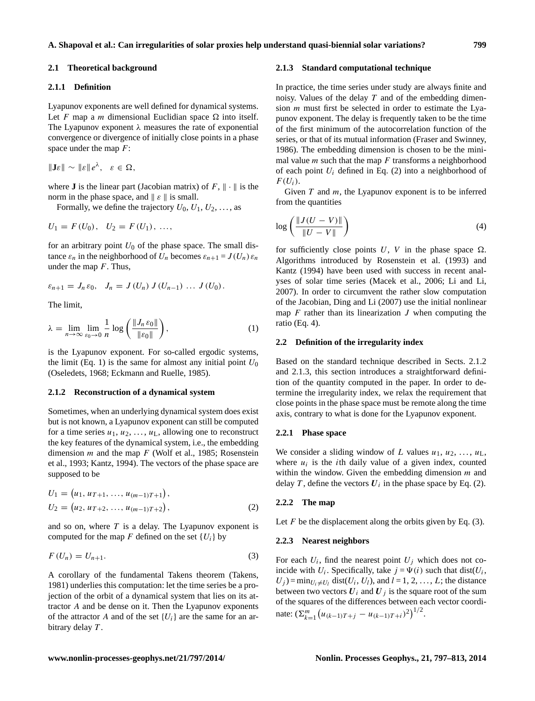#### **2.1 Theoretical background**

## **2.1.1 Definition**

Lyapunov exponents are well defined for dynamical systems. Let F map a m dimensional Euclidian space  $\Omega$  into itself. The Lyapunov exponent  $\lambda$  measures the rate of exponential convergence or divergence of initially close points in a phase space under the map  $F$ :

$$
\|\mathbf{J}\varepsilon\| \sim \|\varepsilon\| \, e^{\lambda}, \quad \varepsilon \in \Omega,
$$

where **J** is the linear part (Jacobian matrix) of  $F$ ,  $\|\cdot\|$  is the norm in the phase space, and  $\|\varepsilon\|$  is small.

Formally, we define the trajectory  $U_0$ ,  $U_1$ ,  $U_2$ , ..., as

$$
U_1 = F(U_0), \quad U_2 = F(U_1), \ \ldots,
$$

for an arbitrary point  $U_0$  of the phase space. The small distance  $\varepsilon_n$  in the neighborhood of  $U_n$  becomes  $\varepsilon_{n+1} = J(U_n) \varepsilon_n$ under the map  $F$ . Thus,

$$
\varepsilon_{n+1} = J_n \varepsilon_0, \quad J_n = J(U_n) J(U_{n-1}) \dots J(U_0).
$$

The limit,

$$
\lambda = \lim_{n \to \infty} \lim_{\varepsilon_0 \to 0} \frac{1}{n} \log \left( \frac{\|J_n \varepsilon_0\|}{\|\varepsilon_0\|} \right),\tag{1}
$$

is the Lyapunov exponent. For so-called ergodic systems, the limit (Eq. 1) is the same for almost any initial point  $U_0$ (Oseledets, 1968; Eckmann and Ruelle, 1985).

## **2.1.2 Reconstruction of a dynamical system**

Sometimes, when an underlying dynamical system does exist but is not known, a Lyapunov exponent can still be computed for a time series  $u_1, u_2, \ldots, u_{L}$ , allowing one to reconstruct the key features of the dynamical system, i.e., the embedding dimension *m* and the map  $F$  (Wolf et al., 1985; Rosenstein et al., 1993; Kantz, 1994). The vectors of the phase space are supposed to be

$$
U_1 = (u_1, u_{T+1}, \dots, u_{(m-1)T+1}),
$$
  
\n
$$
U_2 = (u_2, u_{T+2}, \dots, u_{(m-1)T+2}),
$$
\n(2)

and so on, where  $T$  is a delay. The Lyapunov exponent is computed for the map F defined on the set  $\{U_i\}$  by

$$
F(U_n) = U_{n+1}.
$$
\n<sup>(3)</sup>

A corollary of the fundamental Takens theorem (Takens, 1981) underlies this computation: let the time series be a projection of the orbit of a dynamical system that lies on its attractor A and be dense on it. Then the Lyapunov exponents of the attractor A and of the set  $\{U_i\}$  are the same for an arbitrary delay T.

#### **2.1.3 Standard computational technique**

In practice, the time series under study are always finite and noisy. Values of the delay  $T$  and of the embedding dimension  $m$  must first be selected in order to estimate the Lyapunov exponent. The delay is frequently taken to be the time of the first minimum of the autocorrelation function of the series, or that of its mutual information (Fraser and Swinney, 1986). The embedding dimension is chosen to be the minimal value  $m$  such that the map  $F$  transforms a neighborhood of each point  $U_i$  defined in Eq. (2) into a neighborhood of  $F(U_i)$ .

Given  $T$  and  $m$ , the Lyapunov exponent is to be inferred from the quantities

$$
\log\left(\frac{\|J(U-V)\|}{\|U-V\|}\right) \tag{4}
$$

for sufficiently close points U, V in the phase space  $\Omega$ . Algorithms introduced by Rosenstein et al. (1993) and Kantz (1994) have been used with success in recent analyses of solar time series (Macek et al., 2006; Li and Li, 2007). In order to circumvent the rather slow computation of the Jacobian, Ding and Li (2007) use the initial nonlinear map  $F$  rather than its linearization  $J$  when computing the ratio (Eq. 4).

#### **2.2 Definition of the irregularity index**

Based on the standard technique described in Sects. 2.1.2 and 2.1.3, this section introduces a straightforward definition of the quantity computed in the paper. In order to determine the irregularity index, we relax the requirement that close points in the phase space must be remote along the time axis, contrary to what is done for the Lyapunov exponent.

#### **2.2.1 Phase space**

We consider a sliding window of L values  $u_1, u_2, \ldots, u_L$ , where  $u_i$  is the *i*th daily value of a given index, counted within the window. Given the embedding dimension  $m$  and delay T, define the vectors  $U_i$  in the phase space by Eq. (2).

#### **2.2.2 The map**

Let  $F$  be the displacement along the orbits given by Eq. (3).

#### **2.2.3 Nearest neighbors**

For each  $U_i$ , find the nearest point  $U_j$  which does not coincide with  $U_i$ . Specifically, take  $j = \Psi(i)$  such that dist( $U_i$ ,  $U_j$ ) = min $U_i \neq U_l$  dist( $U_i$ ,  $U_l$ ), and  $l = 1, 2, ..., L$ ; the distance between two vectors  $U_i$  and  $U_j$  is the square root of the sum of the squares of the differences between each vector coordinate:  $(\sum_{k=1}^m (u_{(k-1)T+j} - u_{(k-1)T+i})^2)^{1/2}$ .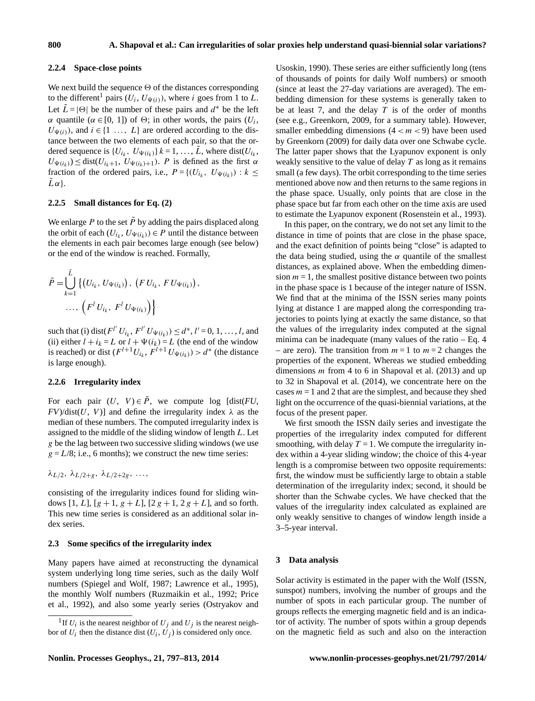#### **2.2.4 Space-close points**

We next build the sequence  $\Theta$  of the distances corresponding to the different<sup>1</sup> pairs  $(U_i, U_{\Psi(i)})$ , where *i* goes from 1 to *L*. Let  $\tilde{L} = |\Theta|$  be the number of these pairs and  $d^*$  be the left  $α$  quantile ( $α ∈ [0, 1]$ ) of  $Θ$ ; in other words, the pairs ( $U_i$ ,  $U_{\Psi(i)}$ , and  $i \in \{1 \ldots, L\}$  are ordered according to the distance between the two elements of each pair, so that the ordered sequence is  $\{U_{i_k}, U_{\Psi(i_k)}\}\, k = 1, \ldots, \tilde{L}$ , where dist $(U_{i_k},$  $U_{\Psi(i_k)}$ )  $\leq$  dist( $U_{i_k+1}$ ,  $U_{\Psi(i_k)+1}$ ). P is defined as the first  $\alpha$ fraction of the ordered pairs, i.e.,  $P = \{(U_{i_k}, U_{\Psi(i_k)}) : k \leq$  $L\alpha$ .

## **2.2.5 Small distances for Eq. (2)**

We enlarge P to the set  $\tilde{P}$  by adding the pairs displaced along the orbit of each  $(U_{i_k}, U_{\Psi(i_k)}) \in P$  until the distance between the elements in each pair becomes large enough (see below) or the end of the window is reached. Formally,

$$
\tilde{P} = \bigcup_{k=1}^{\tilde{L}} \left\{ \left( U_{i_k}, U_{\Psi(i_k)} \right), \left( F U_{i_k}, F U_{\Psi(i_k)} \right), \ldots, \left( F^l U_{i_k}, F^l U_{\Psi(i_k)} \right) \right\}
$$

such that (i) dist( $F^{l'} U_{i_k}, F^{l'} U_{\Psi(i_k)} \leq d^*, l' = 0, 1, ..., l$ , and (ii) either  $l + i_k = L$  or  $l + \Psi(i_k) = L$  (the end of the window is reached) or dist  $(F^{l+1}U_{i_k}, F^{l+1}U_{\Psi(i_k)}) > d^*$  (the distance is large enough).

## **2.2.6 Irregularity index**

For each pair  $(U, V) \in \tilde{P}$ , we compute log [dist(*FU*, *FV*)/dist(U, V)] and define the irregularity index  $\lambda$  as the median of these numbers. The computed irregularity index is assigned to the middle of the sliding window of length L. Let g be the lag between two successive sliding windows (we use  $g = L/8$ ; i.e., 6 months); we construct the new time series:

 $\lambda_{L/2}, \lambda_{L/2+g}, \lambda_{L/2+2g}, \ldots,$ 

consisting of the irregularity indices found for sliding windows [1, L],  $[g+1, g+L]$ ,  $[2g+1, 2g+L]$ , and so forth. This new time series is considered as an additional solar index series.

## **2.3 Some specifics of the irregularity index**

Many papers have aimed at reconstructing the dynamical system underlying long time series, such as the daily Wolf numbers (Spiegel and Wolf, 1987; Lawrence et al., 1995), the monthly Wolf numbers (Ruzmaikin et al., 1992; Price et al., 1992), and also some yearly series (Ostryakov and Usoskin, 1990). These series are either sufficiently long (tens of thousands of points for daily Wolf numbers) or smooth (since at least the 27-day variations are averaged). The embedding dimension for these systems is generally taken to be at least 7, and the delay  $T$  is of the order of months (see e.g., Greenkorn, 2009, for a summary table). However, smaller embedding dimensions  $(4 < m < 9)$  have been used by Greenkorn (2009) for daily data over one Schwabe cycle. The latter paper shows that the Lyapunov exponent is only weakly sensitive to the value of delay  $T$  as long as it remains small (a few days). The orbit corresponding to the time series mentioned above now and then returns to the same regions in the phase space. Usually, only points that are close in the phase space but far from each other on the time axis are used to estimate the Lyapunov exponent (Rosenstein et al., 1993).

In this paper, on the contrary, we do not set any limit to the distance in time of points that are close in the phase space, and the exact definition of points being "close" is adapted to the data being studied, using the  $\alpha$  quantile of the smallest distances, as explained above. When the embedding dimension  $m = 1$ , the smallest positive distance between two points in the phase space is 1 because of the integer nature of ISSN. We find that at the minima of the ISSN series many points lying at distance 1 are mapped along the corresponding trajectories to points lying at exactly the same distance, so that the values of the irregularity index computed at the signal minima can be inadequate (many values of the ratio – Eq. 4 – are zero). The transition from  $m = 1$  to  $m = 2$  changes the properties of the exponent. Whereas we studied embedding dimensions  $m$  from 4 to 6 in Shapoval et al. (2013) and up to 32 in Shapoval et al. (2014), we concentrate here on the cases  $m = 1$  and 2 that are the simplest, and because they shed light on the occurrence of the quasi-biennial variations, at the focus of the present paper.

We first smooth the ISSN daily series and investigate the properties of the irregularity index computed for different smoothing, with delay  $T = 1$ . We compute the irregularity index within a 4-year sliding window; the choice of this 4-year length is a compromise between two opposite requirements: first, the window must be sufficiently large to obtain a stable determination of the irregularity index; second, it should be shorter than the Schwabe cycles. We have checked that the values of the irregularity index calculated as explained are only weakly sensitive to changes of window length inside a 3–5-year interval.

#### **3 Data analysis**

Solar activity is estimated in the paper with the Wolf (ISSN, sunspot) numbers, involving the number of groups and the number of spots in each particular group. The number of groups reflects the emerging magnetic field and is an indicator of activity. The number of spots within a group depends on the magnetic field as such and also on the interaction

<sup>&</sup>lt;sup>1</sup>If  $U_i$  is the nearest neighbor of  $U_j$  and  $U_j$  is the nearest neighbor of  $U_i$  then the distance dist  $(U_i, U_j)$  is considered only once.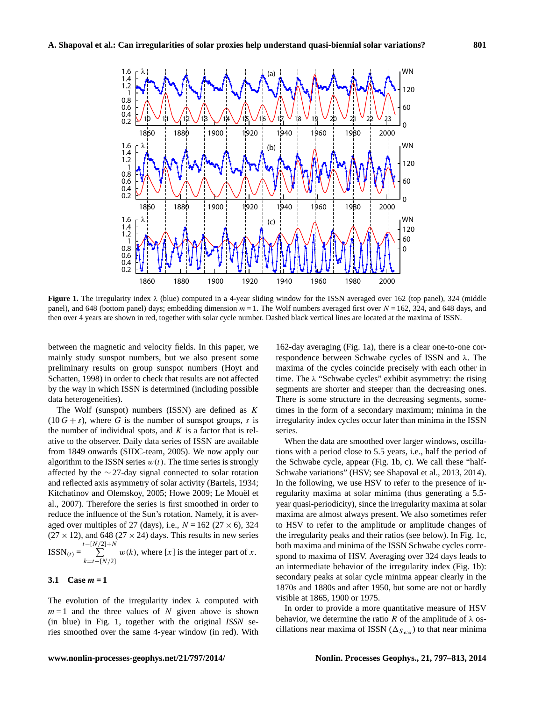

**Figure 1.** The irregularity index λ (blue) computed in a 4-year sliding window for the ISSN averaged over 162 (top panel), 324 (middle panel), and 648 (bottom panel) days; embedding dimension  $m = 1$ . The Wolf numbers averaged first over  $N = 162$ , 324, and 648 days, and then over 4 years are shown in red, together with solar cycle number. Dashed black vertical lines are located at the maxima of ISSN.

between the magnetic and velocity fields. In this paper, we mainly study sunspot numbers, but we also present some preliminary results on group sunspot numbers (Hoyt and Schatten, 1998) in order to check that results are not affected by the way in which ISSN is determined (including possible data heterogeneities).

The Wolf (sunspot) numbers (ISSN) are defined as  $K$  $(10 G + s)$ , where G is the number of sunspot groups, s is the number of individual spots, and  $K$  is a factor that is relative to the observer. Daily data series of ISSN are available from 1849 onwards (SIDC-team, 2005). We now apply our algorithm to the ISSN series  $w(t)$ . The time series is strongly affected by the ∼ 27-day signal connected to solar rotation and reflected axis asymmetry of solar activity (Bartels, 1934; Kitchatinov and Olemskoy, 2005; Howe 2009; Le Mouël et al., 2007). Therefore the series is first smoothed in order to reduce the influence of the Sun's rotation. Namely, it is averaged over multiples of 27 (days), i.e.,  $N = 162 (27 \times 6)$ , 324  $(27 \times 12)$ , and 648  $(27 \times 24)$  days. This results in new series  $ISSN(t) =$  $t-[N/$  $\sum$  $2] + N$  $k=t-[N/2]$  $w(k)$ , where [x] is the integer part of x.

## **3.1** Case  $m = 1$

The evolution of the irregularity index  $\lambda$  computed with  $m = 1$  and the three values of N given above is shown (in blue) in Fig. 1, together with the original *ISSN* series smoothed over the same 4-year window (in red). With

162-day averaging (Fig. 1a), there is a clear one-to-one correspondence between Schwabe cycles of ISSN and λ. The maxima of the cycles coincide precisely with each other in time. The  $\lambda$  "Schwabe cycles" exhibit asymmetry: the rising segments are shorter and steeper than the decreasing ones. There is some structure in the decreasing segments, sometimes in the form of a secondary maximum; minima in the irregularity index cycles occur later than minima in the ISSN series.

When the data are smoothed over larger windows, oscillations with a period close to 5.5 years, i.e., half the period of the Schwabe cycle, appear (Fig. 1b, c). We call these "half-Schwabe variations" (HSV; see Shapoval et al., 2013, 2014). In the following, we use HSV to refer to the presence of irregularity maxima at solar minima (thus generating a 5.5 year quasi-periodicity), since the irregularity maxima at solar maxima are almost always present. We also sometimes refer to HSV to refer to the amplitude or amplitude changes of the irregularity peaks and their ratios (see below). In Fig. 1c, both maxima and minima of the ISSN Schwabe cycles correspond to maxima of HSV. Averaging over 324 days leads to an intermediate behavior of the irregularity index (Fig. 1b): secondary peaks at solar cycle minima appear clearly in the 1870s and 1880s and after 1950, but some are not or hardly visible at 1865, 1900 or 1975.

In order to provide a more quantitative measure of HSV behavior, we determine the ratio R of the amplitude of  $\lambda$  oscillations near maxima of ISSN ( $\Delta_{S_{\text{max}}}$ ) to that near minima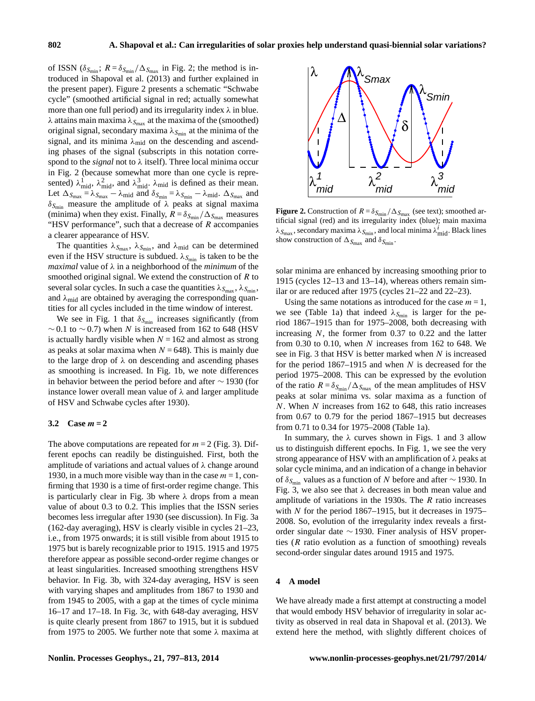of ISSN ( $\delta_{S_{\text{min}}}$ ;  $R = \delta_{S_{\text{min}}}/\Delta_{S_{\text{max}}}$  in Fig. 2; the method is introduced in Shapoval et al. (2013) and further explained in the present paper). Figure 2 presents a schematic "Schwabe cycle" (smoothed artificial signal in red; actually somewhat more than one full period) and its irregularity index  $\lambda$  in blue. λ attains main maxima  $λ_{S_{\text{max}}}$  at the maxima of the (smoothed) original signal, secondary maxima  $\lambda_{S_{\text{min}}}$  at the minima of the signal, and its minima  $\lambda_{mid}$  on the descending and ascending phases of the signal (subscripts in this notation correspond to the *signal* not to  $\lambda$  itself). Three local minima occur in Fig. 2 (because somewhat more than one cycle is represented)  $\lambda_{mid}^1$ ,  $\lambda_{mid}^2$ , and  $\lambda_{mid}^3$ .  $\lambda_{mid}$  is defined as their mean. Let  $\Delta_{S_{\text{max}}} = \lambda_{S_{\text{max}}} - \lambda_{\text{mid}}$  and  $\delta_{S_{\text{min}}} = \lambda_{S_{\text{min}}} - \lambda_{\text{mid}}$ .  $\Delta_{S_{\text{max}}}$  and  $\delta_{S_{\text{min}}}$  measure the amplitude of  $\lambda$  peaks at signal maxima (minima) when they exist. Finally,  $R = \delta_{S_{\text{min}}}/\Delta_{S_{\text{max}}}$  measures "HSV performance", such that a decrease of  $R$  accompanies a clearer appearance of HSV.

The quantities  $\lambda_{S_{\text{max}}}$ ,  $\lambda_{S_{\text{min}}}$ , and  $\lambda_{\text{mid}}$  can be determined even if the HSV structure is subdued.  $\lambda_{S_{\text{min}}}$  is taken to be the *maximal* value of λ in a neighborhood of the *minimum* of the smoothed original signal. We extend the construction of  $R$  to several solar cycles. In such a case the quantities  $\lambda_{S_{\text{max}}}$ ,  $\lambda_{S_{\text{min}}}$ , and  $\lambda_{mid}$  are obtained by averaging the corresponding quantities for all cycles included in the time window of interest.

We see in Fig. 1 that  $\delta_{S_{\text{min}}}$  increases significantly (from  $\sim$  0.1 to  $\sim$  0.7) when N is increased from 162 to 648 (HSV is actually hardly visible when  $N = 162$  and almost as strong as peaks at solar maxima when  $N = 648$ ). This is mainly due to the large drop of  $\lambda$  on descending and ascending phases as smoothing is increased. In Fig. 1b, we note differences in behavior between the period before and after ∼ 1930 (for instance lower overall mean value of  $\lambda$  and larger amplitude of HSV and Schwabe cycles after 1930).

#### 3.2 Case  $m = 2$

The above computations are repeated for  $m = 2$  (Fig. 3). Different epochs can readily be distinguished. First, both the amplitude of variations and actual values of  $\lambda$  change around 1930, in a much more visible way than in the case  $m = 1$ , confirming that 1930 is a time of first-order regime change. This is particularly clear in Fig. 3b where  $\lambda$  drops from a mean value of about 0.3 to 0.2. This implies that the ISSN series becomes less irregular after 1930 (see discussion). In Fig. 3a (162-day averaging), HSV is clearly visible in cycles 21–23, i.e., from 1975 onwards; it is still visible from about 1915 to 1975 but is barely recognizable prior to 1915. 1915 and 1975 therefore appear as possible second-order regime changes or at least singularities. Increased smoothing strengthens HSV behavior. In Fig. 3b, with 324-day averaging, HSV is seen with varying shapes and amplitudes from 1867 to 1930 and from 1945 to 2005, with a gap at the times of cycle minima 16–17 and 17–18. In Fig. 3c, with 648-day averaging, HSV is quite clearly present from 1867 to 1915, but it is subdued from 1975 to 2005. We further note that some  $\lambda$  maxima at



**Figure 2.** Construction of  $R = \delta_{S_{\text{min}}}/\Delta_{S_{\text{max}}}$  (see text); smoothed artificial signal (red) and its irregularity index (blue); main maxima  $\lambda_{S_{\text{max}}}$ , secondary maxima  $\lambda_{S_{\text{min}}}$ , and local minima  $\lambda_{\text{mid}}^i$ . Black lines show construction of  $\Delta_{S_{\text{max}}}$  and  $\delta_{S_{\text{min}}}$ .

solar minima are enhanced by increasing smoothing prior to 1915 (cycles 12–13 and 13–14), whereas others remain similar or are reduced after 1975 (cycles 21–22 and 22–23).

Using the same notations as introduced for the case  $m = 1$ , we see (Table 1a) that indeed  $\lambda_{S_{\text{min}}}$  is larger for the period 1867–1915 than for 1975–2008, both decreasing with increasing N, the former from 0.37 to 0.22 and the latter from  $0.30$  to  $0.10$ , when N increases from 162 to 648. We see in Fig. 3 that HSV is better marked when  $N$  is increased for the period  $1867-1915$  and when N is decreased for the period 1975–2008. This can be expressed by the evolution of the ratio  $R = \delta_{S_{\text{min}}}/\Delta_{S_{\text{max}}}$  of the mean amplitudes of HSV peaks at solar minima vs. solar maxima as a function of N. When N increases from 162 to 648, this ratio increases from 0.67 to 0.79 for the period 1867–1915 but decreases from 0.71 to 0.34 for 1975–2008 (Table 1a).

In summary, the  $\lambda$  curves shown in Figs. 1 and 3 allow us to distinguish different epochs. In Fig. 1, we see the very strong appearance of HSV with an amplification of  $\lambda$  peaks at solar cycle minima, and an indication of a change in behavior of  $\delta_{S_{\min}}$  values as a function of N before and after ~ 1930. In Fig. 3, we also see that  $\lambda$  decreases in both mean value and amplitude of variations in the 1930s. The  *ratio increases* with  $N$  for the period 1867–1915, but it decreases in 1975– 2008. So, evolution of the irregularity index reveals a firstorder singular date ∼ 1930. Finer analysis of HSV properties  $(R$  ratio evolution as a function of smoothing) reveals second-order singular dates around 1915 and 1975.

## **4 A model**

We have already made a first attempt at constructing a model that would embody HSV behavior of irregularity in solar activity as observed in real data in Shapoval et al. (2013). We extend here the method, with slightly different choices of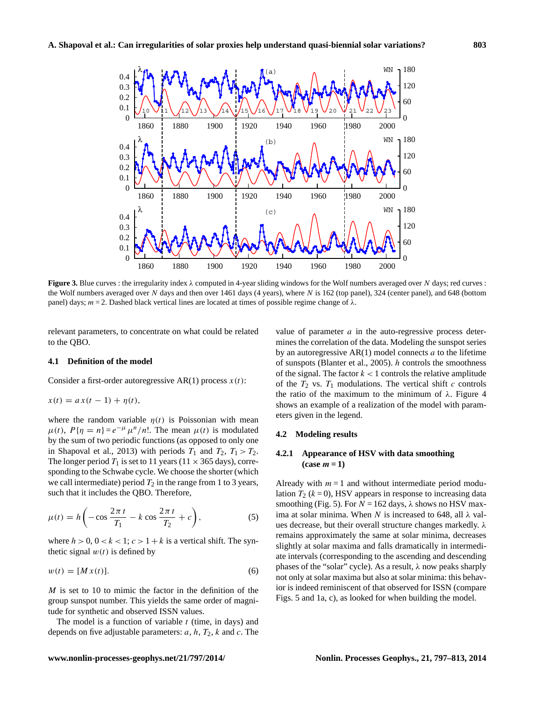

**Figure 3.** Blue curves : the irregularity index  $\lambda$  computed in 4-year sliding windows for the Wolf numbers averaged over N days; red curves : the Wolf numbers averaged over N days and then over 1461 days (4 years), where N is 162 (top panel), 324 (center panel), and 648 (bottom panel) days;  $m = 2$ . Dashed black vertical lines are located at times of possible regime change of λ.

relevant parameters, to concentrate on what could be related to the QBO.

#### **4.1 Definition of the model**

Consider a first-order autoregressive AR(1) process  $x(t)$ :

$$
x(t) = a x(t-1) + \eta(t),
$$

where the random variable  $\eta(t)$  is Poissonian with mean  $\mu(t)$ ,  $P\{\eta = n\} = e^{-\mu} \mu^n/n!$ . The mean  $\mu(t)$  is modulated by the sum of two periodic functions (as opposed to only one in Shapoval et al., 2013) with periods  $T_1$  and  $T_2$ ,  $T_1 > T_2$ . The longer period  $T_1$  is set to 11 years (11  $\times$  365 days), corresponding to the Schwabe cycle. We choose the shorter (which we call intermediate) period  $T_2$  in the range from 1 to 3 years, such that it includes the QBO. Therefore,

$$
\mu(t) = h\left(-\cos\frac{2\pi t}{T_1} - k\cos\frac{2\pi t}{T_2} + c\right),\tag{5}
$$

where  $h > 0$ ,  $0 < k < 1$ ;  $c > 1 + k$  is a vertical shift. The synthetic signal  $w(t)$  is defined by

$$
w(t) = [M x(t)].
$$
\n(6)

 $M$  is set to 10 to mimic the factor in the definition of the group sunspot number. This yields the same order of magnitude for synthetic and observed ISSN values.

The model is a function of variable  $t$  (time, in days) and depends on five adjustable parameters:  $a, h, T_2, k$  and  $c$ . The

value of parameter  $a$  in the auto-regressive process determines the correlation of the data. Modeling the sunspot series by an autoregressive  $AR(1)$  model connects a to the lifetime of sunspots (Blanter et al., 2005). h controls the smoothness of the signal. The factor  $k < 1$  controls the relative amplitude of the  $T_2$  vs.  $T_1$  modulations. The vertical shift c controls the ratio of the maximum to the minimum of  $λ$ . Figure 4 shows an example of a realization of the model with parameters given in the legend.

#### **4.2 Modeling results**

## **4.2.1 Appearance of HSV with data smoothing**  $(\text{case } m = 1)$

Already with  $m = 1$  and without intermediate period modulation  $T_2$  ( $k = 0$ ), HSV appears in response to increasing data smoothing (Fig. 5). For  $N = 162$  days,  $\lambda$  shows no HSV maxima at solar minima. When N is increased to 648, all  $\lambda$  values decrease, but their overall structure changes markedly.  $\lambda$ remains approximately the same at solar minima, decreases slightly at solar maxima and falls dramatically in intermediate intervals (corresponding to the ascending and descending phases of the "solar" cycle). As a result,  $\lambda$  now peaks sharply not only at solar maxima but also at solar minima: this behavior is indeed reminiscent of that observed for ISSN (compare Figs. 5 and 1a, c), as looked for when building the model.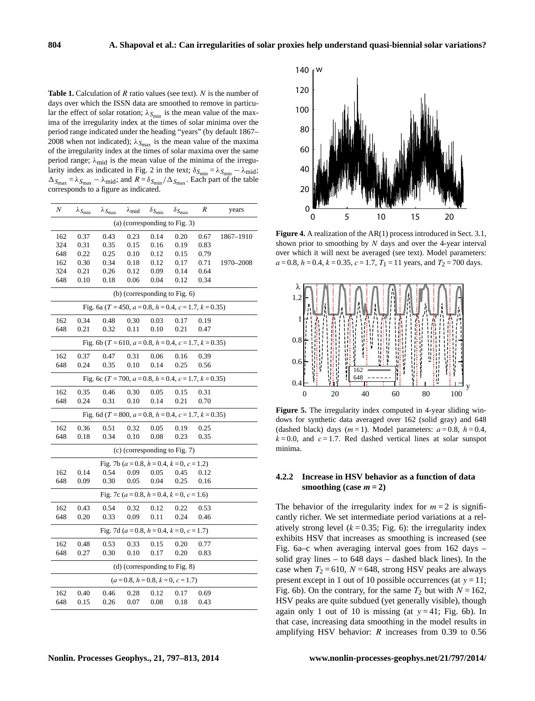**Table 1.** Calculation of R ratio values (see text). N is the number of days over which the ISSN data are smoothed to remove in particular the effect of solar rotation;  $\lambda_{S_{\text{min}}}$  is the mean value of the maxima of the irregularity index at the times of solar minima over the period range indicated under the heading "years" (by default 1867– 2008 when not indicated);  $\lambda_{S_{\text{max}}}$  is the mean value of the maxima of the irregularity index at the times of solar maxima over the same period range;  $\lambda_{mid}$  is the mean value of the minima of the irregularity index as indicated in Fig. 2 in the text;  $\delta_{S_{\text{min}}} = \lambda_{S_{\text{min}}} - \lambda_{\text{mid}}$ ;  $\Delta_{S_{\text{max}}} = \lambda_{S_{\text{max}}} - \lambda_{\text{mid}}$ ; and  $R = \delta_{S_{\text{min}}}/\Delta_{S_{\text{max}}}$ . Each part of the table corresponds to a figure as indicated.

| N                                                                      | $\lambda_{S_{\text{min}}}$ | $\lambda_{S_{\textrm{max}}}$ | $\lambda_{\rm mid}$ | $\delta_{S_{\text{min}}}$ | $\delta_{S_{\rm max}}$ | $\boldsymbol{R}$ | years     |
|------------------------------------------------------------------------|----------------------------|------------------------------|---------------------|---------------------------|------------------------|------------------|-----------|
| (a) (corresponding to Fig. 3)                                          |                            |                              |                     |                           |                        |                  |           |
| 162                                                                    | 0.37                       | 0.43                         | 0.23                | 0.14                      | 0.20                   | 0.67             | 1867–1910 |
| 324                                                                    | 0.31                       | 0.35                         | 0.15                | 0.16                      | 0.19                   | 0.83             |           |
| 648                                                                    | 0.22                       | 0.25                         | 0.10                | 0.12                      | 0.15                   | 0.79             |           |
| 162                                                                    | 0.30                       | 0.34                         | 0.18                | 0.12                      | 0.17                   | 0.71             | 1970-2008 |
| 324                                                                    | 0.21                       | 0.26                         | 0.12                | 0.09                      | 0.14                   | 0.64             |           |
| 648                                                                    | 0.10                       | 0.18                         | 0.06                | 0.04                      | 0.12                   | 0.34             |           |
| $(b)$ (corresponding to Fig. 6)                                        |                            |                              |                     |                           |                        |                  |           |
| Fig. 6a (T = 450, a = 0.8, h = 0.4, c = 1.7, k = 0.35)                 |                            |                              |                     |                           |                        |                  |           |
| 162                                                                    | 0.34                       | 0.48                         | 0.30                | 0.03                      | 0.17                   | 0.19             |           |
| 648                                                                    | 0.21                       | 0.32                         | 0.11                | 0.10                      | 0.21                   | 0.47             |           |
| Fig. 6b ( $T = 610$ , $a = 0.8$ , $h = 0.4$ , $c = 1.7$ , $k = 0.35$ ) |                            |                              |                     |                           |                        |                  |           |
| 162                                                                    | 0.37                       | 0.47                         | 0.31                | 0.06                      | 0.16                   | 0.39             |           |
| 648                                                                    | 0.24                       | 0.35                         | 0.10                | 0.14                      | 0.25                   | 0.56             |           |
| Fig. 6c (T = 700, a = 0.8, h = 0.4, c = 1.7, k = 0.35)                 |                            |                              |                     |                           |                        |                  |           |
| 162                                                                    | 0.35                       | 0.46                         | 0.30                | 0.05                      | 0.15                   | 0.31             |           |
| 648                                                                    | 0.24                       | 0.31                         | 0.10                | 0.14                      | 0.21                   | 0.70             |           |
| Fig. 6d (T = 800, a = 0.8, h = 0.4, c = 1.7, k = 0.35)                 |                            |                              |                     |                           |                        |                  |           |
| 162                                                                    | 0.36                       | 0.51                         | 0.32                | 0.05                      | 0.19                   | 0.25             |           |
| 648                                                                    | 0.18                       | 0.34                         | 0.10                | 0.08                      | 0.23                   | 0.35             |           |
| $(c)$ (corresponding to Fig. 7)                                        |                            |                              |                     |                           |                        |                  |           |
| Fig. 7b ( $a = 0.8$ , $h = 0.4$ , $k = 0$ , $c = 1.2$ )                |                            |                              |                     |                           |                        |                  |           |
| 162                                                                    | 0.14                       | 0.54                         | 0.09                | 0.05                      | 0.45                   | 0.12             |           |
| 648                                                                    | 0.09                       | 0.30                         | 0.05                | 0.04                      | 0.25                   | 0.16             |           |
| Fig. 7c ( $a = 0.8$ , $h = 0.4$ , $k = 0$ , $c = 1.6$ )                |                            |                              |                     |                           |                        |                  |           |
| 162                                                                    | 0.43                       | 0.54                         | 0.32                | 0.12                      | 0.22                   | 0.53             |           |
| 648                                                                    | 0.20                       | 0.33                         | 0.09                | 0.11                      | 0.24                   | 0.46             |           |
| Fig. 7d ( $a = 0.8$ , $h = 0.4$ , $k = 0$ , $c = 1.7$ )                |                            |                              |                     |                           |                        |                  |           |
| 162                                                                    | 0.48                       | 0.53                         | 0.33                | 0.15                      | 0.20                   | 0.77             |           |
| 648                                                                    | 0.27                       | 0.30                         | 0.10                | 0.17                      | 0.20                   | 0.83             |           |
| $(d)$ (corresponding to Fig. 8)                                        |                            |                              |                     |                           |                        |                  |           |
| $(a=0.8, h=0.8, k=0, c=1.7)$                                           |                            |                              |                     |                           |                        |                  |           |
| 162                                                                    | 0.40                       | 0.46                         | 0.28                | 0.12                      | 0.17                   | 0.69             |           |
| 648                                                                    | 0.15                       | 0.26                         | 0.07                | 0.08                      | 0.18                   | 0.43             |           |
|                                                                        |                            |                              |                     |                           |                        |                  |           |



**Figure 4.** A realization of the AR(1) process introduced in Sect. 3.1, shown prior to smoothing by  $N$  days and over the 4-year interval over which it will next be averaged (see text). Model parameters:  $a = 0.8$ ,  $h = 0.4$ ,  $k = 0.35$ ,  $c = 1.7$ ,  $T_1 = 11$  years, and  $T_2 = 700$  days.



**Figure 5.** The irregularity index computed in 4-year sliding windows for synthetic data averaged over 162 (solid gray) and 648 (dashed black) days ( $m = 1$ ). Model parameters:  $a = 0.8$ ,  $h = 0.4$ ,  $k = 0.0$ , and  $c = 1.7$ . Red dashed vertical lines at solar sunspot minima.

## **4.2.2 Increase in HSV behavior as a function of data smoothing (case**  $m = 2$ **)**

The behavior of the irregularity index for  $m = 2$  is significantly richer. We set intermediate period variations at a relatively strong level ( $k = 0.35$ ; Fig. 6): the irregularity index exhibits HSV that increases as smoothing is increased (see Fig. 6a–c when averaging interval goes from 162 days – solid gray lines – to 648 days – dashed black lines). In the case when  $T_2 = 610$ ,  $N = 648$ , strong HSV peaks are always present except in 1 out of 10 possible occurrences (at  $y = 11$ ; Fig. 6b). On the contrary, for the same  $T_2$  but with  $N = 162$ , HSV peaks are quite subdued (yet generally visible), though again only 1 out of 10 is missing (at  $y = 41$ ; Fig. 6b). In that case, increasing data smoothing in the model results in amplifying HSV behavior: R increases from 0.39 to 0.56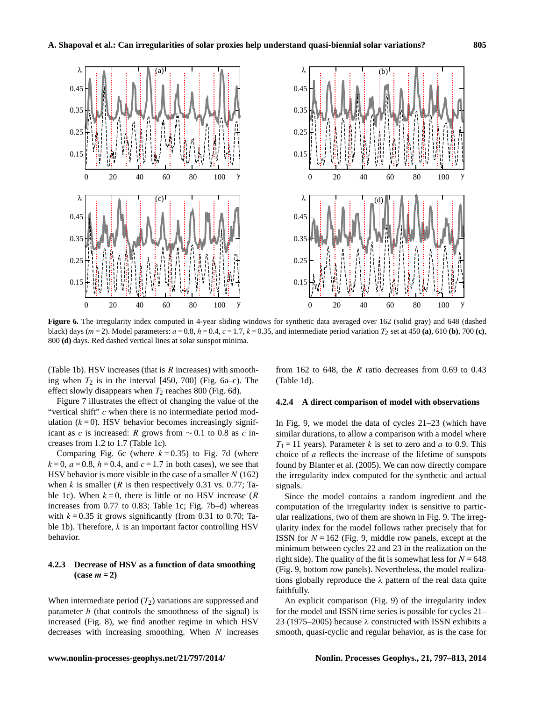

**Figure 6.** The irregularity index computed in 4-year sliding windows for synthetic data averaged over 162 (solid gray) and 648 (dashed black) days  $(m = 2)$ . Model parameters:  $a = 0.8$ ,  $h = 0.4$ ,  $c = 1.7$ ,  $k = 0.35$ , and intermediate period variation  $T_2$  set at 450 **(a)**, 610 **(b)**, 700 **(c)**, 800 **(d)** days. Red dashed vertical lines at solar sunspot minima.

(Table 1b). HSV increases (that is  $R$  increases) with smoothing when  $T_2$  is in the interval [450, 700] (Fig. 6a–c). The effect slowly disappears when  $T_2$  reaches 800 (Fig. 6d).

Figure 7 illustrates the effect of changing the value of the "vertical shift" c when there is no intermediate period modulation  $(k=0)$ . HSV behavior becomes increasingly significant as c is increased: R grows from  $\sim$  0.1 to 0.8 as c increases from 1.2 to 1.7 (Table 1c).

Comparing Fig. 6c (where  $k = 0.35$ ) to Fig. 7d (where  $k = 0$ ,  $a = 0.8$ ,  $h = 0.4$ , and  $c = 1.7$  in both cases), we see that HSV behavior is more visible in the case of a smaller  $N(162)$ when k is smaller ( $R$  is then respectively 0.31 vs. 0.77; Table 1c). When  $k = 0$ , there is little or no HSV increase (R increases from 0.77 to 0.83; Table 1c; Fig. 7b–d) whereas with  $k = 0.35$  it grows significantly (from 0.31 to 0.70; Table 1b). Therefore,  $k$  is an important factor controlling HSV behavior.

## **4.2.3 Decrease of HSV as a function of data smoothing**  $(\text{case } m = 2)$

When intermediate period  $(T_2)$  variations are suppressed and parameter  $h$  (that controls the smoothness of the signal) is increased (Fig. 8), we find another regime in which HSV decreases with increasing smoothing. When  $N$  increases from 162 to 648, the  $R$  ratio decreases from 0.69 to 0.43 (Table 1d).

## **4.2.4 A direct comparison of model with observations**

In Fig. 9, we model the data of cycles 21–23 (which have similar durations, to allow a comparison with a model where  $T_1 = 11$  years). Parameter k is set to zero and a to 0.9. This choice of a reflects the increase of the lifetime of sunspots found by Blanter et al. (2005). We can now directly compare the irregularity index computed for the synthetic and actual signals.

Since the model contains a random ingredient and the computation of the irregularity index is sensitive to particular realizations, two of them are shown in Fig. 9. The irregularity index for the model follows rather precisely that for ISSN for  $N = 162$  (Fig. 9, middle row panels, except at the minimum between cycles 22 and 23 in the realization on the right side). The quality of the fit is somewhat less for  $N = 648$ (Fig. 9, bottom row panels). Nevertheless, the model realizations globally reproduce the  $\lambda$  pattern of the real data quite faithfully.

An explicit comparison (Fig. 9) of the irregularity index for the model and ISSN time series is possible for cycles 21– 23 (1975–2005) because  $\lambda$  constructed with ISSN exhibits a smooth, quasi-cyclic and regular behavior, as is the case for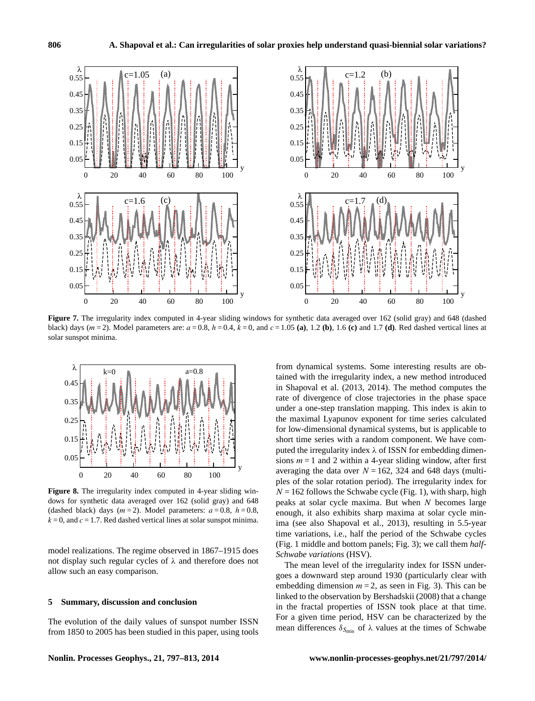

**Figure 7.** The irregularity index computed in 4-year sliding windows for synthetic data averaged over 162 (solid gray) and 648 (dashed black) days  $(m=2)$ . Model parameters are:  $a=0.8$ ,  $h=0.4$ ,  $k=0$ , and  $c=1.05$  (a), 1.2 (b), 1.6 (c) and 1.7 (d). Red dashed vertical lines at solar sunspot minima.



**Figure 8.** The irregularity index computed in 4-year sliding windows for synthetic data averaged over 162 (solid gray) and 648 (dashed black) days  $(m=2)$ . Model parameters:  $a=0.8$ ,  $h=0.8$ ,  $k = 0$ , and  $c = 1.7$ . Red dashed vertical lines at solar sunspot minima.

model realizations. The regime observed in 1867–1915 does not display such regular cycles of  $\lambda$  and therefore does not allow such an easy comparison.

#### **5 Summary, discussion and conclusion**

The evolution of the daily values of sunspot number ISSN from 1850 to 2005 has been studied in this paper, using tools

from dynamical systems. Some interesting results are obtained with the irregularity index, a new method introduced in Shapoval et al. (2013, 2014). The method computes the rate of divergence of close trajectories in the phase space under a one-step translation mapping. This index is akin to the maximal Lyapunov exponent for time series calculated for low-dimensional dynamical systems, but is applicable to short time series with a random component. We have computed the irregularity index  $\lambda$  of ISSN for embedding dimensions  $m = 1$  and 2 within a 4-year sliding window, after first averaging the data over  $N = 162$ , 324 and 648 days (multiples of the solar rotation period). The irregularity index for  $N = 162$  follows the Schwabe cycle (Fig. 1), with sharp, high peaks at solar cycle maxima. But when N becomes large enough, it also exhibits sharp maxima at solar cycle minima (see also Shapoval et al., 2013), resulting in 5.5-year time variations, i.e., half the period of the Schwabe cycles (Fig. 1 middle and bottom panels; Fig. 3); we call them *half-Schwabe variations* (HSV).

The mean level of the irregularity index for ISSN undergoes a downward step around 1930 (particularly clear with embedding dimension  $m = 2$ , as seen in Fig. 3). This can be linked to the observation by Bershadskii (2008) that a change in the fractal properties of ISSN took place at that time. For a given time period, HSV can be characterized by the mean differences  $\delta_{S_{\text{min}}}$  of  $\lambda$  values at the times of Schwabe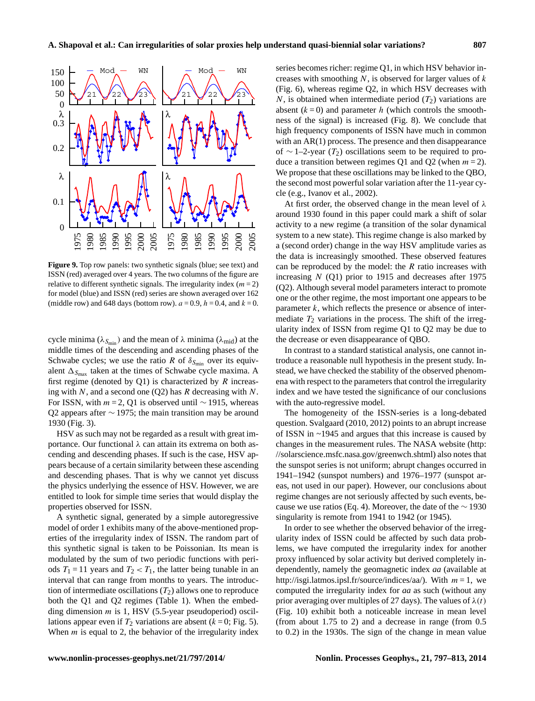

**Figure 9.** Top row panels: two synthetic signals (blue; see text) and ISSN (red) averaged over 4 years. The two columns of the figure are relative to different synthetic signals. The irregularity index  $(m = 2)$ for model (blue) and ISSN (red) series are shown averaged over 162 (middle row) and 648 days (bottom row).  $a = 0.9$ ,  $h = 0.4$ , and  $k = 0$ .

cycle minima ( $\lambda_{S_{\text{min}}}$ ) and the mean of  $\lambda$  minima ( $\lambda_{\text{mid}}$ ) at the middle times of the descending and ascending phases of the Schwabe cycles; we use the ratio R of  $\delta_{S_{\text{min}}}$  over its equivalent  $\Delta_{S_{\text{max}}}$  taken at the times of Schwabe cycle maxima. A first regime (denoted by  $Q1$ ) is characterized by R increasing with  $N$ , and a second one (Q2) has  $R$  decreasing with  $N$ . For ISSN, with  $m = 2$ , Q1 is observed until ~ 1915, whereas Q2 appears after ∼ 1975; the main transition may be around 1930 (Fig. 3).

HSV as such may not be regarded as a result with great importance. Our functional  $\lambda$  can attain its extrema on both ascending and descending phases. If such is the case, HSV appears because of a certain similarity between these ascending and descending phases. That is why we cannot yet discuss the physics underlying the essence of HSV. However, we are entitled to look for simple time series that would display the properties observed for ISSN.

A synthetic signal, generated by a simple autoregressive model of order 1 exhibits many of the above-mentioned properties of the irregularity index of ISSN. The random part of this synthetic signal is taken to be Poissonian. Its mean is modulated by the sum of two periodic functions with periods  $T_1 = 11$  years and  $T_2 < T_1$ , the latter being tunable in an interval that can range from months to years. The introduction of intermediate oscillations  $(T_2)$  allows one to reproduce both the Q1 and Q2 regimes (Table 1). When the embedding dimension  $m$  is 1, HSV (5.5-year pseudoperiod) oscillations appear even if  $T_2$  variations are absent ( $k = 0$ ; Fig. 5). When  $m$  is equal to 2, the behavior of the irregularity index series becomes richer: regime Q1, in which HSV behavior increases with smoothing  $N$ , is observed for larger values of  $k$ (Fig. 6), whereas regime Q2, in which HSV decreases with N, is obtained when intermediate period  $(T_2)$  variations are absent  $(k=0)$  and parameter h (which controls the smoothness of the signal) is increased (Fig. 8). We conclude that high frequency components of ISSN have much in common with an AR(1) process. The presence and then disappearance of ∼ 1–2-year ( $T_2$ ) oscillations seem to be required to produce a transition between regimes Q1 and Q2 (when  $m = 2$ ). We propose that these oscillations may be linked to the QBO, the second most powerful solar variation after the 11-year cycle (e.g., Ivanov et al., 2002).

At first order, the observed change in the mean level of  $\lambda$ around 1930 found in this paper could mark a shift of solar activity to a new regime (a transition of the solar dynamical system to a new state). This regime change is also marked by a (second order) change in the way HSV amplitude varies as the data is increasingly smoothed. These observed features can be reproduced by the model: the  $R$  ratio increases with increasing  $N$  (Q1) prior to 1915 and decreases after 1975 (Q2). Although several model parameters interact to promote one or the other regime, the most important one appears to be parameter  $k$ , which reflects the presence or absence of intermediate  $T_2$  variations in the process. The shift of the irregularity index of ISSN from regime Q1 to Q2 may be due to the decrease or even disappearance of QBO.

In contrast to a standard statistical analysis, one cannot introduce a reasonable null hypothesis in the present study. Instead, we have checked the stability of the observed phenomena with respect to the parameters that control the irregularity index and we have tested the significance of our conclusions with the auto-regressive model.

The homogeneity of the ISSN-series is a long-debated question. Svalgaard (2010, 2012) points to an abrupt increase of ISSN in ~1945 and argues that this increase is caused by changes in the measurement rules. The NASA website [\(http:](http://solarscience.msfc.nasa.gov/greenwch.shtml) [//solarscience.msfc.nasa.gov/greenwch.shtml\)](http://solarscience.msfc.nasa.gov/greenwch.shtml) also notes that the sunspot series is not uniform; abrupt changes occurred in 1941–1942 (sunspot numbers) and 1976–1977 (sunspot areas, not used in our paper). However, our conclusions about regime changes are not seriously affected by such events, because we use ratios (Eq. 4). Moreover, the date of the  $\sim$  1930 singularity is remote from 1941 to 1942 (or 1945).

In order to see whether the observed behavior of the irregularity index of ISSN could be affected by such data problems, we have computed the irregularity index for another proxy influenced by solar activity but derived completely independently, namely the geomagnetic index *aa* (available at [http://isgi.latmos.ipsl.fr/source/indices/aa/\)](http://isgi.latmos.ipsl.fr/source/indices/aa/). With  $m = 1$ , we computed the irregularity index for *aa* as such (without any prior averaging over multiples of 27 days). The values of  $\lambda(t)$ (Fig. 10) exhibit both a noticeable increase in mean level (from about 1.75 to 2) and a decrease in range (from 0.5 to 0.2) in the 1930s. The sign of the change in mean value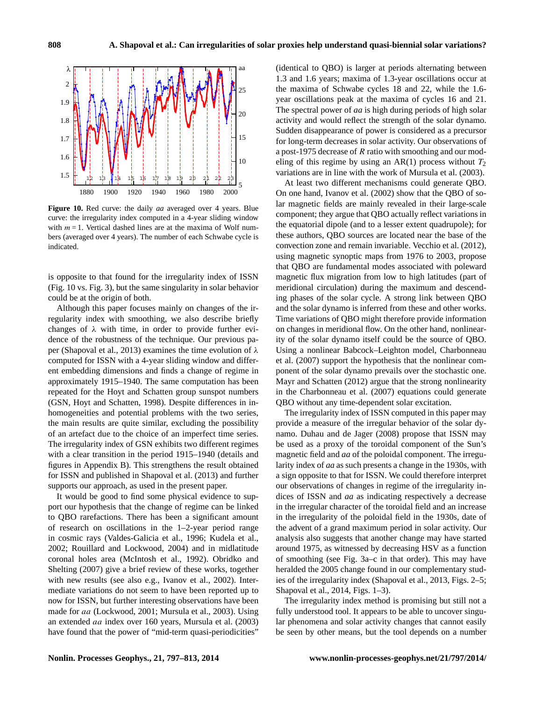

**Figure 10.** Red curve: the daily *aa* averaged over 4 years. Blue curve: the irregularity index computed in a 4-year sliding window with  $m = 1$ . Vertical dashed lines are at the maxima of Wolf numbers (averaged over 4 years). The number of each Schwabe cycle is indicated.

is opposite to that found for the irregularity index of ISSN (Fig. 10 vs. Fig. 3), but the same singularity in solar behavior could be at the origin of both.

Although this paper focuses mainly on changes of the irregularity index with smoothing, we also describe briefly changes of  $\lambda$  with time, in order to provide further evidence of the robustness of the technique. Our previous paper (Shapoval et al., 2013) examines the time evolution of  $\lambda$ computed for ISSN with a 4-year sliding window and different embedding dimensions and finds a change of regime in approximately 1915–1940. The same computation has been repeated for the Hoyt and Schatten group sunspot numbers (GSN, Hoyt and Schatten, 1998). Despite differences in inhomogeneities and potential problems with the two series, the main results are quite similar, excluding the possibility of an artefact due to the choice of an imperfect time series. The irregularity index of GSN exhibits two different regimes with a clear transition in the period 1915–1940 (details and figures in Appendix B). This strengthens the result obtained for ISSN and published in Shapoval et al. (2013) and further supports our approach, as used in the present paper.

It would be good to find some physical evidence to support our hypothesis that the change of regime can be linked to QBO rarefactions. There has been a significant amount of research on oscillations in the 1–2-year period range in cosmic rays (Valdes-Galicia et al., 1996; Kudela et al., 2002; Rouillard and Lockwood, 2004) and in midlatitude coronal holes area (McIntosh et al., 1992). Obridko and Shelting (2007) give a brief review of these works, together with new results (see also e.g., Ivanov et al., 2002). Intermediate variations do not seem to have been reported up to now for ISSN, but further interesting observations have been made for aa (Lockwood, 2001; Mursula et al., 2003). Using an extended aa index over 160 years, Mursula et al. (2003) have found that the power of "mid-term quasi-periodicities" (identical to QBO) is larger at periods alternating between 1.3 and 1.6 years; maxima of 1.3-year oscillations occur at the maxima of Schwabe cycles 18 and 22, while the 1.6 year oscillations peak at the maxima of cycles 16 and 21. The spectral power of *aa* is high during periods of high solar activity and would reflect the strength of the solar dynamo. Sudden disappearance of power is considered as a precursor for long-term decreases in solar activity. Our observations of a post-1975 decrease of R ratio with smoothing and our modeling of this regime by using an AR(1) process without  $T_2$ variations are in line with the work of Mursula et al. (2003).

At least two different mechanisms could generate QBO. On one hand, Ivanov et al. (2002) show that the QBO of solar magnetic fields are mainly revealed in their large-scale component; they argue that QBO actually reflect variations in the equatorial dipole (and to a lesser extent quadrupole); for these authors, QBO sources are located near the base of the convection zone and remain invariable. Vecchio et al. (2012), using magnetic synoptic maps from 1976 to 2003, propose that QBO are fundamental modes associated with poleward magnetic flux migration from low to high latitudes (part of meridional circulation) during the maximum and descending phases of the solar cycle. A strong link between QBO and the solar dynamo is inferred from these and other works. Time variations of QBO might therefore provide information on changes in meridional flow. On the other hand, nonlinearity of the solar dynamo itself could be the source of QBO. Using a nonlinear Babcock–Leighton model, Charbonneau et al. (2007) support the hypothesis that the nonlinear component of the solar dynamo prevails over the stochastic one. Mayr and Schatten (2012) argue that the strong nonlinearity in the Charbonneau et al. (2007) equations could generate QBO without any time-dependent solar excitation.

The irregularity index of ISSN computed in this paper may provide a measure of the irregular behavior of the solar dynamo. Duhau and de Jager (2008) propose that ISSN may be used as a proxy of the toroidal component of the Sun's magnetic field and *aa* of the poloidal component. The irregularity index of *aa* as such presents a change in the 1930s, with a sign opposite to that for ISSN. We could therefore interpret our observations of changes in regime of the irregularity indices of ISSN and *aa* as indicating respectively a decrease in the irregular character of the toroidal field and an increase in the irregularity of the poloidal field in the 1930s, date of the advent of a grand maximum period in solar activity. Our analysis also suggests that another change may have started around 1975, as witnessed by decreasing HSV as a function of smoothing (see Fig. 3a–c in that order). This may have heralded the 2005 change found in our complementary studies of the irregularity index (Shapoval et al., 2013, Figs. 2–5; Shapoval et al., 2014, Figs. 1–3).

The irregularity index method is promising but still not a fully understood tool. It appears to be able to uncover singular phenomena and solar activity changes that cannot easily be seen by other means, but the tool depends on a number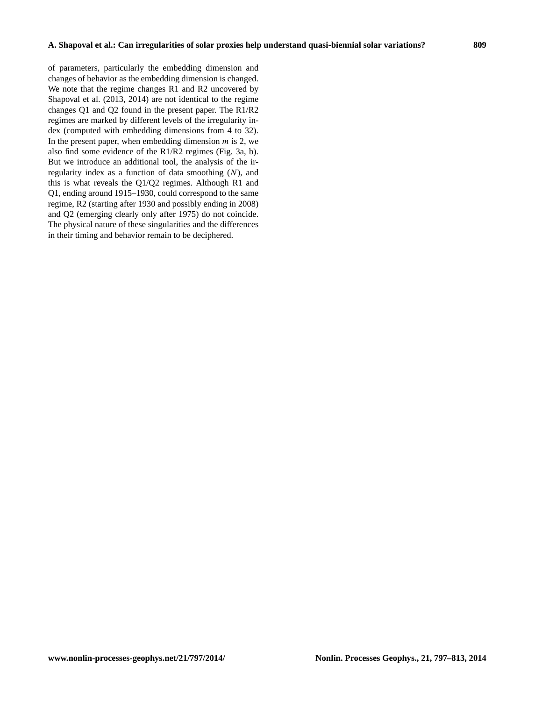of parameters, particularly the embedding dimension and changes of behavior as the embedding dimension is changed. We note that the regime changes R1 and R2 uncovered by Shapoval et al. (2013, 2014) are not identical to the regime changes Q1 and Q2 found in the present paper. The R1/R2 regimes are marked by different levels of the irregularity index (computed with embedding dimensions from 4 to 32). In the present paper, when embedding dimension  $m$  is 2, we also find some evidence of the R1/R2 regimes (Fig. 3a, b). But we introduce an additional tool, the analysis of the irregularity index as a function of data smoothing  $(N)$ , and this is what reveals the Q1/Q2 regimes. Although R1 and Q1, ending around 1915–1930, could correspond to the same regime, R2 (starting after 1930 and possibly ending in 2008) and Q2 (emerging clearly only after 1975) do not coincide. The physical nature of these singularities and the differences in their timing and behavior remain to be deciphered.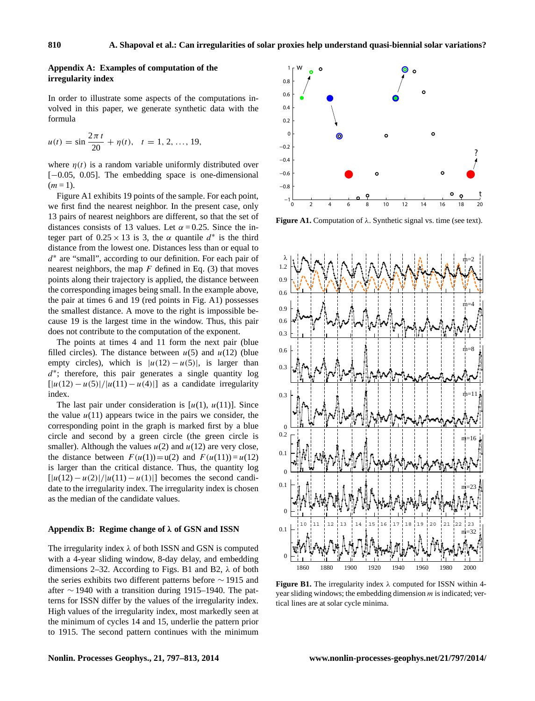## **Appendix A: Examples of computation of the irregularity index**

In order to illustrate some aspects of the computations involved in this paper, we generate synthetic data with the formula

$$
u(t) = \sin \frac{2\pi t}{20} + \eta(t), \quad t = 1, 2, ..., 19,
$$

where  $\eta(t)$  is a random variable uniformly distributed over  $[-0.05, 0.05]$ . The embedding space is one-dimensional  $(m=1)$ .

Figure A1 exhibits 19 points of the sample. For each point, we first find the nearest neighbor. In the present case, only 13 pairs of nearest neighbors are different, so that the set of distances consists of 13 values. Let  $\alpha = 0.25$ . Since the integer part of  $0.25 \times 13$  is 3, the  $\alpha$  quantile  $d^*$  is the third distance from the lowest one. Distances less than or equal to d ∗ are "small", according to our definition. For each pair of nearest neighbors, the map  $F$  defined in Eq. (3) that moves points along their trajectory is applied, the distance between the corresponding images being small. In the example above, the pair at times 6 and 19 (red points in Fig. A1) possesses the smallest distance. A move to the right is impossible because 19 is the largest time in the window. Thus, this pair does not contribute to the computation of the exponent.

The points at times 4 and 11 form the next pair (blue filled circles). The distance between  $u(5)$  and  $u(12)$  (blue empty circles), which is  $|u(12) - u(5)|$ , is larger than d ∗ ; therefore, this pair generates a single quantity log  $[|u(12) - u(5)|/|u(11) - u(4)|]$  as a candidate irregularity index.

The last pair under consideration is  $[u(1), u(1)]$ . Since the value  $u(11)$  appears twice in the pairs we consider, the corresponding point in the graph is marked first by a blue circle and second by a green circle (the green circle is smaller). Although the values  $u(2)$  and  $u(12)$  are very close, the distance between  $F(u(1))=u(2)$  and  $F(u(11))=u(12)$ is larger than the critical distance. Thus, the quantity log  $[|u(12) - u(2)|/|u(11) - u(1)|]$  becomes the second candidate to the irregularity index. The irregularity index is chosen as the median of the candidate values.

#### **Appendix B: Regime change of** λ **of GSN and ISSN**

The irregularity index  $\lambda$  of both ISSN and GSN is computed with a 4-year sliding window, 8-day delay, and embedding dimensions 2–32. According to Figs. B1 and B2,  $\lambda$  of both the series exhibits two different patterns before ∼ 1915 and after ∼ 1940 with a transition during 1915–1940. The patterns for ISSN differ by the values of the irregularity index. High values of the irregularity index, most markedly seen at the minimum of cycles 14 and 15, underlie the pattern prior to 1915. The second pattern continues with the minimum



**Figure A1.** Computation of λ. Synthetic signal vs. time (see text).



**Figure B1.** The irregularity index  $\lambda$  computed for ISSN within 4year sliding windows; the embedding dimension  $m$  is indicated; vertical lines are at solar cycle minima.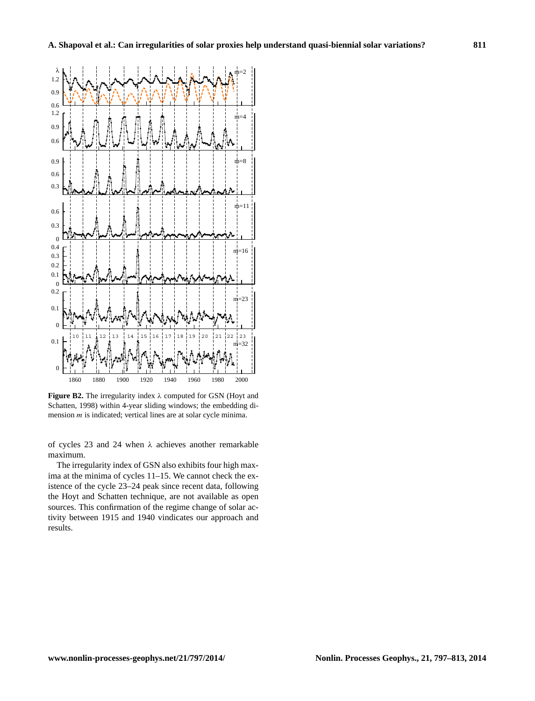

**Figure B2.** The irregularity index λ computed for GSN (Hoyt and Schatten, 1998) within 4-year sliding windows; the embedding dimension  $m$  is indicated; vertical lines are at solar cycle minima.

of cycles 23 and 24 when  $\lambda$  achieves another remarkable maximum.

The irregularity index of GSN also exhibits four high maxima at the minima of cycles 11–15. We cannot check the existence of the cycle 23–24 peak since recent data, following the Hoyt and Schatten technique, are not available as open sources. This confirmation of the regime change of solar activity between 1915 and 1940 vindicates our approach and results.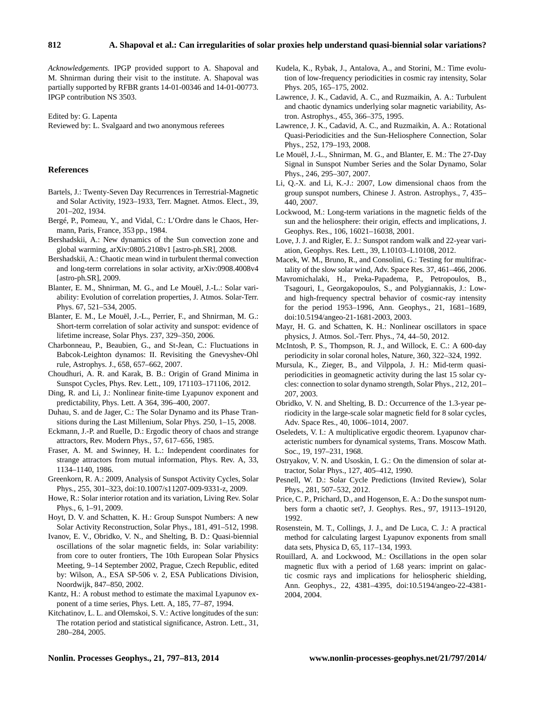*Acknowledgements.* IPGP provided support to A. Shapoval and M. Shnirman during their visit to the institute. A. Shapoval was partially supported by RFBR grants 14-01-00346 and 14-01-00773. IPGP contribution NS 3503.

Edited by: G. Lapenta

Reviewed by: L. Svalgaard and two anonymous referees

### **References**

- Bartels, J.: Twenty-Seven Day Recurrences in Terrestrial-Magnetic and Solar Activity, 1923–1933, Terr. Magnet. Atmos. Elect., 39, 201–202, 1934.
- Bergé, P., Pomeau, Y., and Vidal, C.: L'Ordre dans le Chaos, Hermann, Paris, France, 353 pp., 1984.
- Bershadskii, A.: New dynamics of the Sun convection zone and global warming, arXiv:0805.2108v1 [astro-ph.SR], 2008.
- Bershadskii, A.: Chaotic mean wind in turbulent thermal convection and long-term correlations in solar activity, arXiv:0908.4008v4 [astro-ph.SR], 2009.
- Blanter, E. M., Shnirman, M. G., and Le Mouël, J.-L.: Solar variability: Evolution of correlation properties, J. Atmos. Solar-Terr. Phys. 67, 521–534, 2005.
- Blanter, E. M., Le Mouël, J.-L., Perrier, F., and Shnirman, M. G.: Short-term correlation of solar activity and sunspot: evidence of lifetime increase, Solar Phys. 237, 329–350, 2006.
- Charbonneau, P., Beaubien, G., and St-Jean, C.: Fluctuations in Babcok-Leighton dynamos: II. Revisiting the Gnevyshev-Ohl rule, Astrophys. J., 658, 657–662, 2007.
- Choudhuri, A. R. and Karak, B. B.: Origin of Grand Minima in Sunspot Cycles, Phys. Rev. Lett., 109, 171103–171106, 2012.
- Ding, R. and Li, J.: Nonlinear finite-time Lyapunov exponent and predictability, Phys. Lett. A 364, 396–400, 2007.
- Duhau, S. and de Jager, C.: The Solar Dynamo and its Phase Transitions during the Last Millenium, Solar Phys. 250, 1–15, 2008.
- Eckmann, J.-P. and Ruelle, D.: Ergodic theory of chaos and strange attractors, Rev. Modern Phys., 57, 617–656, 1985.
- Fraser, A. M. and Swinney, H. L.: Independent coordinates for strange attractors from mutual information, Phys. Rev. A, 33, 1134–1140, 1986.
- Greenkorn, R. A.: 2009, Analysis of Sunspot Activity Cycles, Solar Phys., 255, 301–323, doi[:10.1007/s11207-009-9331-z,](http://dx.doi.org/10.1007/s11207-009-9331-z) 2009.
- Howe, R.: Solar interior rotation and its variation, Living Rev. Solar Phys., 6, 1–91, 2009.
- Hoyt, D. V. and Schatten, K. H.: Group Sunspot Numbers: A new Solar Activity Reconstruction, Solar Phys., 181, 491–512, 1998.
- Ivanov, E. V., Obridko, V. N., and Shelting, B. D.: Quasi-biennial oscillations of the solar magnetic fields, in: Solar variability: from core to outer frontiers, The 10th European Solar Physics Meeting, 9–14 September 2002, Prague, Czech Republic, edited by: Wilson, A., ESA SP-506 v. 2, ESA Publications Division, Noordwijk, 847–850, 2002.
- Kantz, H.: A robust method to estimate the maximal Lyapunov exponent of a time series, Phys. Lett. A, 185, 77–87, 1994.
- Kitchatinov, L. L. and Olemskoi, S. V.: Active longitudes of the sun: The rotation period and statistical significance, Astron. Lett., 31, 280–284, 2005.
- Kudela, K., Rybak, J., Antalova, A., and Storini, M.: Time evolution of low-frequency periodicities in cosmic ray intensity, Solar Phys. 205, 165–175, 2002.
- Lawrence, J. K., Cadavid, A. C., and Ruzmaikin, A. A.: Turbulent and chaotic dynamics underlying solar magnetic variability, Astron. Astrophys., 455, 366–375, 1995.
- Lawrence, J. K., Cadavid, A. C., and Ruzmaikin, A. A.: Rotational Quasi-Periodicities and the Sun-Heliosphere Connection, Solar Phys., 252, 179–193, 2008.
- Le Mouël, J.-L., Shnirman, M. G., and Blanter, E. M.: The 27-Day Signal in Sunspot Number Series and the Solar Dynamo, Solar Phys., 246, 295–307, 2007.
- Li, Q.-X. and Li, K.-J.: 2007, Low dimensional chaos from the group sunspot numbers, Chinese J. Astron. Astrophys., 7, 435– 440, 2007.
- Lockwood, M.: Long-term variations in the magnetic fields of the sun and the heliosphere: their origin, effects and implications, J. Geophys. Res., 106, 16021–16038, 2001.
- Love, J. J. and Rigler, E. J.: Sunspot random walk and 22-year variation, Geophys. Res. Lett., 39, L10103–L10108, 2012.
- Macek, W. M., Bruno, R., and Consolini, G.: Testing for multifractality of the slow solar wind, Adv. Space Res. 37, 461–466, 2006.
- Mavromichalaki, H., Preka-Papadema, P., Petropoulos, B., Tsagouri, I., Georgakopoulos, S., and Polygiannakis, J.: Lowand high-frequency spectral behavior of cosmic-ray intensity for the period 1953–1996, Ann. Geophys., 21, 1681–1689, doi[:10.5194/angeo-21-1681-2003,](http://dx.doi.org/10.5194/angeo-21-1681-2003) 2003.
- Mayr, H. G. and Schatten, K. H.: Nonlinear oscillators in space physics, J. Atmos. Sol.-Terr. Phys., 74, 44–50, 2012.
- McIntosh, P. S., Thompson, R. J., and Willock, E. C.: A 600-day periodicity in solar coronal holes, Nature, 360, 322–324, 1992.
- Mursula, K., Zieger, B., and Vilppola, J. H.: Mid-term quasiperiodicities in geomagnetic activity during the last 15 solar cycles: connection to solar dynamo strength, Solar Phys., 212, 201– 207, 2003.
- Obridko, V. N. and Shelting, B. D.: Occurrence of the 1.3-year periodicity in the large-scale solar magnetic field for 8 solar cycles, Adv. Space Res., 40, 1006–1014, 2007.
- Oseledets, V. I.: A multiplicative ergodic theorem. Lyapunov characteristic numbers for dynamical systems, Trans. Moscow Math. Soc., 19, 197–231, 1968.
- Ostryakov, V. N. and Usoskin, I. G.: On the dimension of solar attractor, Solar Phys., 127, 405–412, 1990.
- Pesnell, W. D.: Solar Cycle Predictions (Invited Review), Solar Phys., 281, 507–532, 2012.
- Price, C. P., Prichard, D., and Hogenson, E. A.: Do the sunspot numbers form a chaotic set?, J. Geophys. Res., 97, 19113–19120, 1992.
- Rosenstein, M. T., Collings, J. J., and De Luca, C. J.: A practical method for calculating largest Lyapunov exponents from small data sets, Physica D, 65, 117–134, 1993.
- Rouillard, A. and Lockwood, M.: Oscillations in the open solar magnetic flux with a period of 1.68 years: imprint on galactic cosmic rays and implications for heliospheric shielding, Ann. Geophys., 22, 4381–4395, doi[:10.5194/angeo-22-4381-](http://dx.doi.org/10.5194/angeo-22-4381-2004) [2004,](http://dx.doi.org/10.5194/angeo-22-4381-2004) 2004.